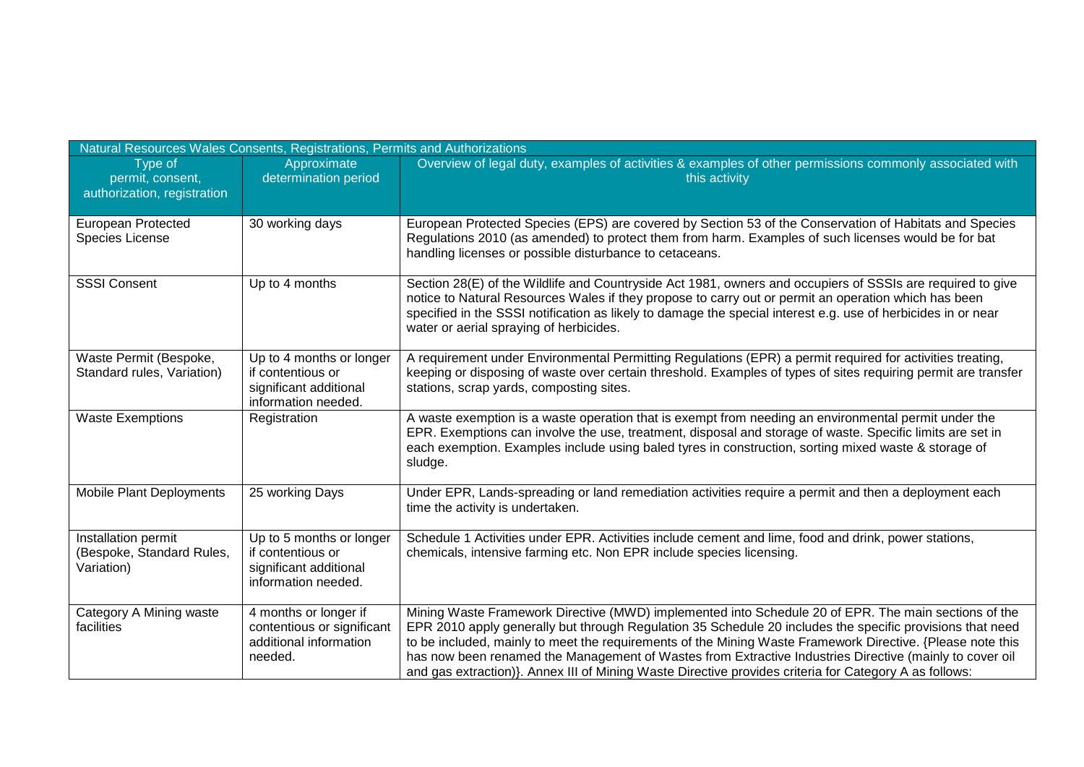| Natural Resources Wales Consents, Registrations, Permits and Authorizations |                                                                                                |                                                                                                                                                                                                                                                                                                                                                                                                                                                                                                                                                      |  |
|-----------------------------------------------------------------------------|------------------------------------------------------------------------------------------------|------------------------------------------------------------------------------------------------------------------------------------------------------------------------------------------------------------------------------------------------------------------------------------------------------------------------------------------------------------------------------------------------------------------------------------------------------------------------------------------------------------------------------------------------------|--|
| Type of<br>permit, consent,<br>authorization, registration                  | Approximate<br>determination period                                                            | Overview of legal duty, examples of activities & examples of other permissions commonly associated with<br>this activity                                                                                                                                                                                                                                                                                                                                                                                                                             |  |
| European Protected<br>Species License                                       | 30 working days                                                                                | European Protected Species (EPS) are covered by Section 53 of the Conservation of Habitats and Species<br>Regulations 2010 (as amended) to protect them from harm. Examples of such licenses would be for bat<br>handling licenses or possible disturbance to cetaceans.                                                                                                                                                                                                                                                                             |  |
| <b>SSSI Consent</b>                                                         | Up to 4 months                                                                                 | Section 28(E) of the Wildlife and Countryside Act 1981, owners and occupiers of SSSIs are required to give<br>notice to Natural Resources Wales if they propose to carry out or permit an operation which has been<br>specified in the SSSI notification as likely to damage the special interest e.g. use of herbicides in or near<br>water or aerial spraying of herbicides.                                                                                                                                                                       |  |
| Waste Permit (Bespoke,<br>Standard rules, Variation)                        | Up to 4 months or longer<br>if contentious or<br>significant additional<br>information needed. | A requirement under Environmental Permitting Regulations (EPR) a permit required for activities treating,<br>keeping or disposing of waste over certain threshold. Examples of types of sites requiring permit are transfer<br>stations, scrap yards, composting sites.                                                                                                                                                                                                                                                                              |  |
| <b>Waste Exemptions</b>                                                     | Registration                                                                                   | A waste exemption is a waste operation that is exempt from needing an environmental permit under the<br>EPR. Exemptions can involve the use, treatment, disposal and storage of waste. Specific limits are set in<br>each exemption. Examples include using baled tyres in construction, sorting mixed waste & storage of<br>sludge.                                                                                                                                                                                                                 |  |
| <b>Mobile Plant Deployments</b>                                             | 25 working Days                                                                                | Under EPR, Lands-spreading or land remediation activities require a permit and then a deployment each<br>time the activity is undertaken.                                                                                                                                                                                                                                                                                                                                                                                                            |  |
| Installation permit<br>(Bespoke, Standard Rules,<br>Variation)              | Up to 5 months or longer<br>if contentious or<br>significant additional<br>information needed. | Schedule 1 Activities under EPR. Activities include cement and lime, food and drink, power stations,<br>chemicals, intensive farming etc. Non EPR include species licensing.                                                                                                                                                                                                                                                                                                                                                                         |  |
| Category A Mining waste<br>facilities                                       | 4 months or longer if<br>contentious or significant<br>additional information<br>needed.       | Mining Waste Framework Directive (MWD) implemented into Schedule 20 of EPR. The main sections of the<br>EPR 2010 apply generally but through Regulation 35 Schedule 20 includes the specific provisions that need<br>to be included, mainly to meet the requirements of the Mining Waste Framework Directive. {Please note this<br>has now been renamed the Management of Wastes from Extractive Industries Directive (mainly to cover oil<br>and gas extraction)}. Annex III of Mining Waste Directive provides criteria for Category A as follows: |  |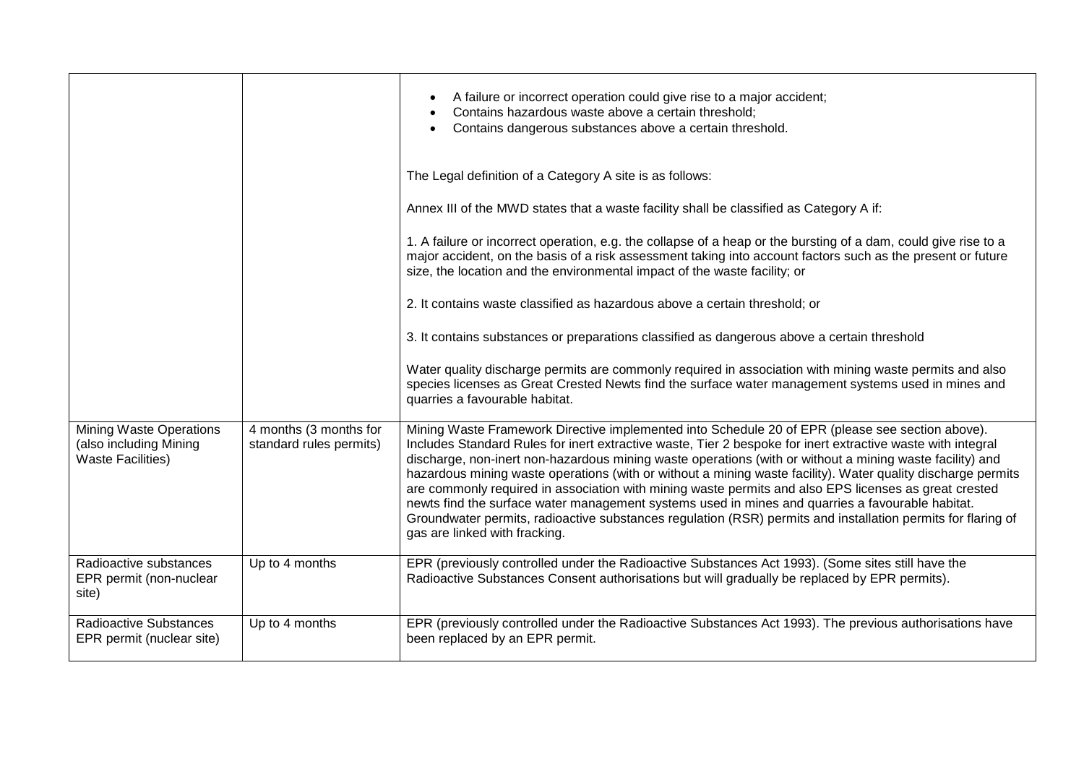|                                                                                      |                                                   | A failure or incorrect operation could give rise to a major accident;<br>Contains hazardous waste above a certain threshold;<br>Contains dangerous substances above a certain threshold.                                                                                                                                                                                                                                                                                                                                                                                                                                                                                                                                                                                                                  |
|--------------------------------------------------------------------------------------|---------------------------------------------------|-----------------------------------------------------------------------------------------------------------------------------------------------------------------------------------------------------------------------------------------------------------------------------------------------------------------------------------------------------------------------------------------------------------------------------------------------------------------------------------------------------------------------------------------------------------------------------------------------------------------------------------------------------------------------------------------------------------------------------------------------------------------------------------------------------------|
|                                                                                      |                                                   | The Legal definition of a Category A site is as follows:                                                                                                                                                                                                                                                                                                                                                                                                                                                                                                                                                                                                                                                                                                                                                  |
|                                                                                      |                                                   | Annex III of the MWD states that a waste facility shall be classified as Category A if:                                                                                                                                                                                                                                                                                                                                                                                                                                                                                                                                                                                                                                                                                                                   |
|                                                                                      |                                                   | 1. A failure or incorrect operation, e.g. the collapse of a heap or the bursting of a dam, could give rise to a<br>major accident, on the basis of a risk assessment taking into account factors such as the present or future<br>size, the location and the environmental impact of the waste facility; or                                                                                                                                                                                                                                                                                                                                                                                                                                                                                               |
|                                                                                      |                                                   | 2. It contains waste classified as hazardous above a certain threshold; or                                                                                                                                                                                                                                                                                                                                                                                                                                                                                                                                                                                                                                                                                                                                |
|                                                                                      |                                                   | 3. It contains substances or preparations classified as dangerous above a certain threshold                                                                                                                                                                                                                                                                                                                                                                                                                                                                                                                                                                                                                                                                                                               |
|                                                                                      |                                                   | Water quality discharge permits are commonly required in association with mining waste permits and also<br>species licenses as Great Crested Newts find the surface water management systems used in mines and<br>quarries a favourable habitat.                                                                                                                                                                                                                                                                                                                                                                                                                                                                                                                                                          |
| <b>Mining Waste Operations</b><br>(also including Mining<br><b>Waste Facilities)</b> | 4 months (3 months for<br>standard rules permits) | Mining Waste Framework Directive implemented into Schedule 20 of EPR (please see section above).<br>Includes Standard Rules for inert extractive waste, Tier 2 bespoke for inert extractive waste with integral<br>discharge, non-inert non-hazardous mining waste operations (with or without a mining waste facility) and<br>hazardous mining waste operations (with or without a mining waste facility). Water quality discharge permits<br>are commonly required in association with mining waste permits and also EPS licenses as great crested<br>newts find the surface water management systems used in mines and quarries a favourable habitat.<br>Groundwater permits, radioactive substances regulation (RSR) permits and installation permits for flaring of<br>gas are linked with fracking. |
| Radioactive substances<br>EPR permit (non-nuclear<br>site)                           | Up to 4 months                                    | EPR (previously controlled under the Radioactive Substances Act 1993). (Some sites still have the<br>Radioactive Substances Consent authorisations but will gradually be replaced by EPR permits).                                                                                                                                                                                                                                                                                                                                                                                                                                                                                                                                                                                                        |
| <b>Radioactive Substances</b><br>EPR permit (nuclear site)                           | Up to 4 months                                    | EPR (previously controlled under the Radioactive Substances Act 1993). The previous authorisations have<br>been replaced by an EPR permit.                                                                                                                                                                                                                                                                                                                                                                                                                                                                                                                                                                                                                                                                |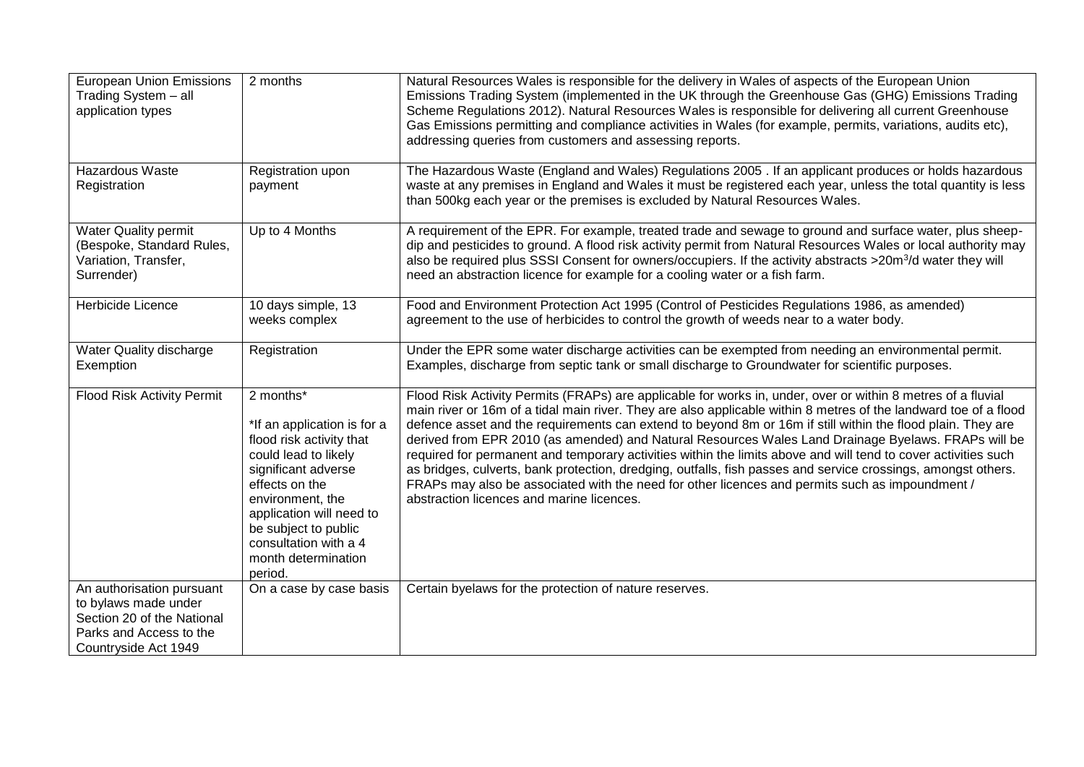| <b>European Union Emissions</b><br>Trading System - all<br>application types                                                       | 2 months                                                                                                                                                                                                                                                                 | Natural Resources Wales is responsible for the delivery in Wales of aspects of the European Union<br>Emissions Trading System (implemented in the UK through the Greenhouse Gas (GHG) Emissions Trading<br>Scheme Regulations 2012). Natural Resources Wales is responsible for delivering all current Greenhouse<br>Gas Emissions permitting and compliance activities in Wales (for example, permits, variations, audits etc),<br>addressing queries from customers and assessing reports.                                                                                                                                                                                                                                                                                                                                              |
|------------------------------------------------------------------------------------------------------------------------------------|--------------------------------------------------------------------------------------------------------------------------------------------------------------------------------------------------------------------------------------------------------------------------|-------------------------------------------------------------------------------------------------------------------------------------------------------------------------------------------------------------------------------------------------------------------------------------------------------------------------------------------------------------------------------------------------------------------------------------------------------------------------------------------------------------------------------------------------------------------------------------------------------------------------------------------------------------------------------------------------------------------------------------------------------------------------------------------------------------------------------------------|
| Hazardous Waste<br>Registration                                                                                                    | Registration upon<br>payment                                                                                                                                                                                                                                             | The Hazardous Waste (England and Wales) Regulations 2005 . If an applicant produces or holds hazardous<br>waste at any premises in England and Wales it must be registered each year, unless the total quantity is less<br>than 500kg each year or the premises is excluded by Natural Resources Wales.                                                                                                                                                                                                                                                                                                                                                                                                                                                                                                                                   |
| <b>Water Quality permit</b><br>(Bespoke, Standard Rules,<br>Variation, Transfer,<br>Surrender)                                     | Up to 4 Months                                                                                                                                                                                                                                                           | A requirement of the EPR. For example, treated trade and sewage to ground and surface water, plus sheep-<br>dip and pesticides to ground. A flood risk activity permit from Natural Resources Wales or local authority may<br>also be required plus SSSI Consent for owners/occupiers. If the activity abstracts >20m <sup>3</sup> /d water they will<br>need an abstraction licence for example for a cooling water or a fish farm.                                                                                                                                                                                                                                                                                                                                                                                                      |
| Herbicide Licence                                                                                                                  | 10 days simple, 13<br>weeks complex                                                                                                                                                                                                                                      | Food and Environment Protection Act 1995 (Control of Pesticides Regulations 1986, as amended)<br>agreement to the use of herbicides to control the growth of weeds near to a water body.                                                                                                                                                                                                                                                                                                                                                                                                                                                                                                                                                                                                                                                  |
| Water Quality discharge<br>Exemption                                                                                               | Registration                                                                                                                                                                                                                                                             | Under the EPR some water discharge activities can be exempted from needing an environmental permit.<br>Examples, discharge from septic tank or small discharge to Groundwater for scientific purposes.                                                                                                                                                                                                                                                                                                                                                                                                                                                                                                                                                                                                                                    |
| <b>Flood Risk Activity Permit</b>                                                                                                  | 2 months*<br>*If an application is for a<br>flood risk activity that<br>could lead to likely<br>significant adverse<br>effects on the<br>environment, the<br>application will need to<br>be subject to public<br>consultation with a 4<br>month determination<br>period. | Flood Risk Activity Permits (FRAPs) are applicable for works in, under, over or within 8 metres of a fluvial<br>main river or 16m of a tidal main river. They are also applicable within 8 metres of the landward toe of a flood<br>defence asset and the requirements can extend to beyond 8m or 16m if still within the flood plain. They are<br>derived from EPR 2010 (as amended) and Natural Resources Wales Land Drainage Byelaws. FRAPs will be<br>required for permanent and temporary activities within the limits above and will tend to cover activities such<br>as bridges, culverts, bank protection, dredging, outfalls, fish passes and service crossings, amongst others.<br>FRAPs may also be associated with the need for other licences and permits such as impoundment /<br>abstraction licences and marine licences. |
| An authorisation pursuant<br>to bylaws made under<br>Section 20 of the National<br>Parks and Access to the<br>Countryside Act 1949 | On a case by case basis                                                                                                                                                                                                                                                  | Certain byelaws for the protection of nature reserves.                                                                                                                                                                                                                                                                                                                                                                                                                                                                                                                                                                                                                                                                                                                                                                                    |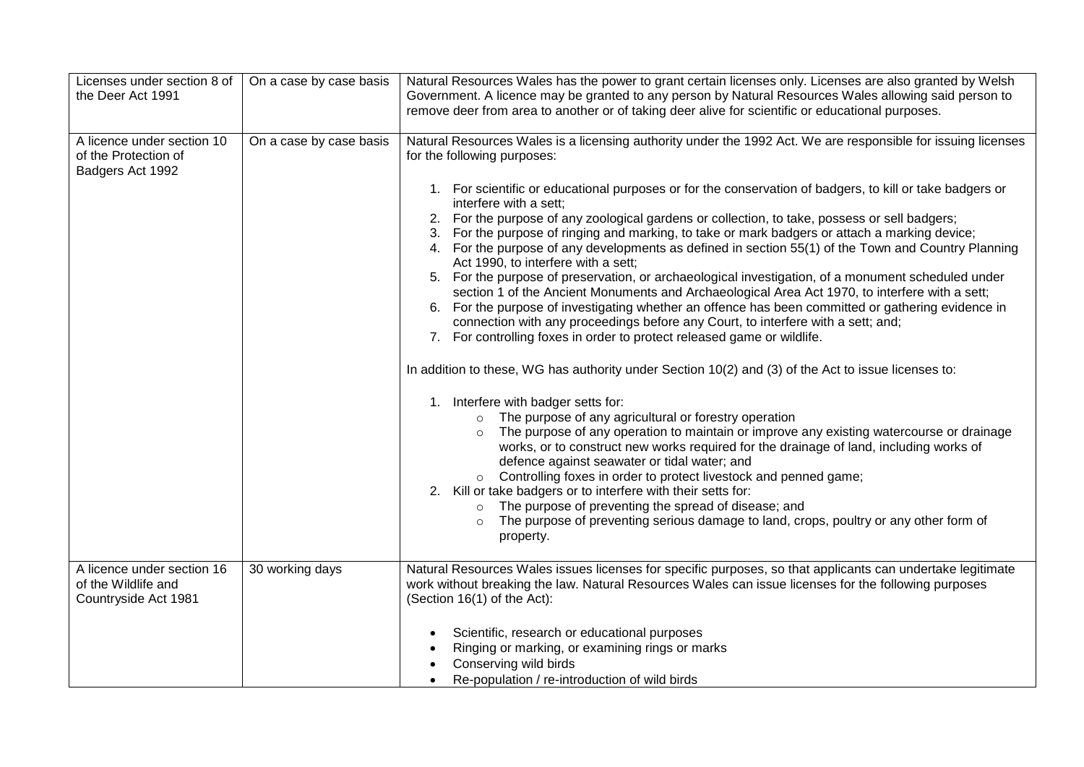| Licenses under section 8 of<br>the Deer Act 1991                          | On a case by case basis | Natural Resources Wales has the power to grant certain licenses only. Licenses are also granted by Welsh<br>Government. A licence may be granted to any person by Natural Resources Wales allowing said person to<br>remove deer from area to another or of taking deer alive for scientific or educational purposes.                                                                                                                                                                                                                                                                                                                                                                                                                                                                                                                                                                                                                                                                                                                                                                                                                                                                                                                                                                                                                                                                                                                                                                                                                                                                                                                                                                                                                                                                                                                                                        |
|---------------------------------------------------------------------------|-------------------------|------------------------------------------------------------------------------------------------------------------------------------------------------------------------------------------------------------------------------------------------------------------------------------------------------------------------------------------------------------------------------------------------------------------------------------------------------------------------------------------------------------------------------------------------------------------------------------------------------------------------------------------------------------------------------------------------------------------------------------------------------------------------------------------------------------------------------------------------------------------------------------------------------------------------------------------------------------------------------------------------------------------------------------------------------------------------------------------------------------------------------------------------------------------------------------------------------------------------------------------------------------------------------------------------------------------------------------------------------------------------------------------------------------------------------------------------------------------------------------------------------------------------------------------------------------------------------------------------------------------------------------------------------------------------------------------------------------------------------------------------------------------------------------------------------------------------------------------------------------------------------|
| A licence under section 10<br>of the Protection of<br>Badgers Act 1992    | On a case by case basis | Natural Resources Wales is a licensing authority under the 1992 Act. We are responsible for issuing licenses<br>for the following purposes:<br>1. For scientific or educational purposes or for the conservation of badgers, to kill or take badgers or<br>interfere with a sett:<br>2. For the purpose of any zoological gardens or collection, to take, possess or sell badgers;<br>3. For the purpose of ringing and marking, to take or mark badgers or attach a marking device;<br>4. For the purpose of any developments as defined in section 55(1) of the Town and Country Planning<br>Act 1990, to interfere with a sett;<br>5. For the purpose of preservation, or archaeological investigation, of a monument scheduled under<br>section 1 of the Ancient Monuments and Archaeological Area Act 1970, to interfere with a sett;<br>6. For the purpose of investigating whether an offence has been committed or gathering evidence in<br>connection with any proceedings before any Court, to interfere with a sett; and;<br>7. For controlling foxes in order to protect released game or wildlife.<br>In addition to these, WG has authority under Section 10(2) and (3) of the Act to issue licenses to:<br>1. Interfere with badger setts for:<br>The purpose of any agricultural or forestry operation<br>The purpose of any operation to maintain or improve any existing watercourse or drainage<br>works, or to construct new works required for the drainage of land, including works of<br>defence against seawater or tidal water; and<br>o Controlling foxes in order to protect livestock and penned game;<br>2. Kill or take badgers or to interfere with their setts for:<br>The purpose of preventing the spread of disease; and<br>$\circ$<br>The purpose of preventing serious damage to land, crops, poultry or any other form of<br>property. |
| A licence under section 16<br>of the Wildlife and<br>Countryside Act 1981 | 30 working days         | Natural Resources Wales issues licenses for specific purposes, so that applicants can undertake legitimate<br>work without breaking the law. Natural Resources Wales can issue licenses for the following purposes<br>(Section 16(1) of the Act):<br>Scientific, research or educational purposes<br>Ringing or marking, or examining rings or marks<br>Conserving wild birds<br>Re-population / re-introduction of wild birds                                                                                                                                                                                                                                                                                                                                                                                                                                                                                                                                                                                                                                                                                                                                                                                                                                                                                                                                                                                                                                                                                                                                                                                                                                                                                                                                                                                                                                               |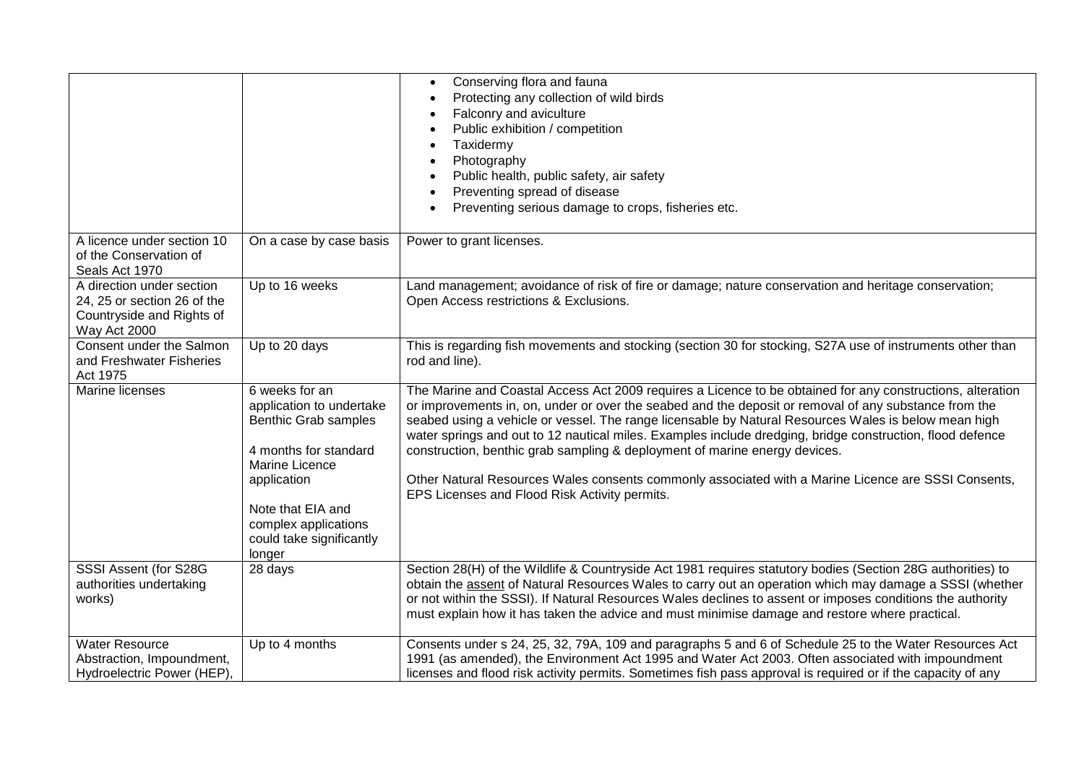|                                                                                                       |                                                                                                                                                                           | Conserving flora and fauna<br>Protecting any collection of wild birds<br>Falconry and aviculture<br>Public exhibition / competition<br>Taxidermy<br>Photography<br>Public health, public safety, air safety<br>Preventing spread of disease<br>Preventing serious damage to crops, fisheries etc.                                                                                                                                                                                                                                                                                                                                                                              |
|-------------------------------------------------------------------------------------------------------|---------------------------------------------------------------------------------------------------------------------------------------------------------------------------|--------------------------------------------------------------------------------------------------------------------------------------------------------------------------------------------------------------------------------------------------------------------------------------------------------------------------------------------------------------------------------------------------------------------------------------------------------------------------------------------------------------------------------------------------------------------------------------------------------------------------------------------------------------------------------|
| A licence under section 10<br>of the Conservation of<br>Seals Act 1970                                | On a case by case basis                                                                                                                                                   | Power to grant licenses.                                                                                                                                                                                                                                                                                                                                                                                                                                                                                                                                                                                                                                                       |
| A direction under section<br>24, 25 or section 26 of the<br>Countryside and Rights of<br>Way Act 2000 | Up to 16 weeks                                                                                                                                                            | Land management; avoidance of risk of fire or damage; nature conservation and heritage conservation;<br>Open Access restrictions & Exclusions.                                                                                                                                                                                                                                                                                                                                                                                                                                                                                                                                 |
| Consent under the Salmon<br>and Freshwater Fisheries<br>Act 1975                                      | Up to 20 days                                                                                                                                                             | This is regarding fish movements and stocking (section 30 for stocking, S27A use of instruments other than<br>rod and line).                                                                                                                                                                                                                                                                                                                                                                                                                                                                                                                                                   |
| Marine licenses                                                                                       | 6 weeks for an<br>application to undertake<br>Benthic Grab samples<br>4 months for standard<br>Marine Licence<br>application<br>Note that EIA and<br>complex applications | The Marine and Coastal Access Act 2009 requires a Licence to be obtained for any constructions, alteration<br>or improvements in, on, under or over the seabed and the deposit or removal of any substance from the<br>seabed using a vehicle or vessel. The range licensable by Natural Resources Wales is below mean high<br>water springs and out to 12 nautical miles. Examples include dredging, bridge construction, flood defence<br>construction, benthic grab sampling & deployment of marine energy devices.<br>Other Natural Resources Wales consents commonly associated with a Marine Licence are SSSI Consents,<br>EPS Licenses and Flood Risk Activity permits. |
|                                                                                                       | could take significantly<br>longer                                                                                                                                        |                                                                                                                                                                                                                                                                                                                                                                                                                                                                                                                                                                                                                                                                                |
| SSSI Assent (for S28G<br>authorities undertaking<br>works)                                            | 28 days                                                                                                                                                                   | Section 28(H) of the Wildlife & Countryside Act 1981 requires statutory bodies (Section 28G authorities) to<br>obtain the assent of Natural Resources Wales to carry out an operation which may damage a SSSI (whether<br>or not within the SSSI). If Natural Resources Wales declines to assent or imposes conditions the authority<br>must explain how it has taken the advice and must minimise damage and restore where practical.                                                                                                                                                                                                                                         |
| <b>Water Resource</b><br>Abstraction, Impoundment,<br>Hydroelectric Power (HEP),                      | Up to 4 months                                                                                                                                                            | Consents under s 24, 25, 32, 79A, 109 and paragraphs 5 and 6 of Schedule 25 to the Water Resources Act<br>1991 (as amended), the Environment Act 1995 and Water Act 2003. Often associated with impoundment<br>licenses and flood risk activity permits. Sometimes fish pass approval is required or if the capacity of any                                                                                                                                                                                                                                                                                                                                                    |